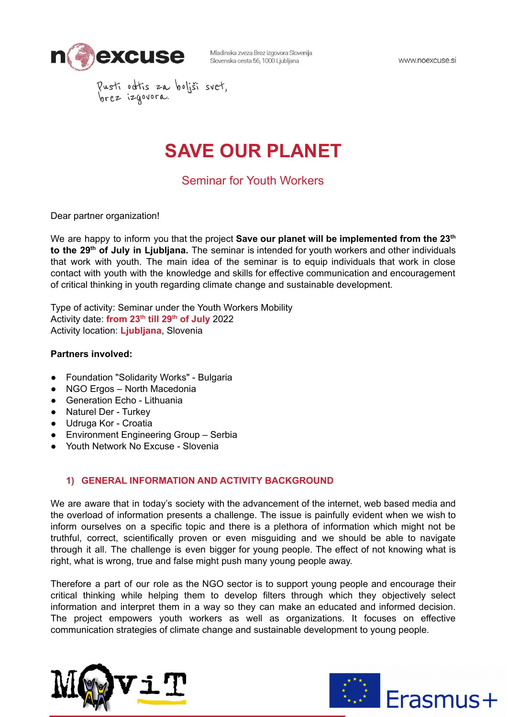

www.noexcuse.si

Pusti odtis za boljši svet,<br>brez izgovora.

# **SAVE OUR PLANET**

Seminar for Youth Workers

Dear partner organization!

We are happy to inform you that the project **Save our planet will be implemented from the 23 th to the 29 th of July in Ljubljana.** The seminar is intended for youth workers and other individuals that work with youth. The main idea of the seminar is to equip individuals that work in close contact with youth with the knowledge and skills for effective communication and encouragement of critical thinking in youth regarding climate change and sustainable development.

Type of activity: Seminar under the Youth Workers Mobility Activity date: **from 23 th till 29 th of July** 2022 Activity location: **Ljubljana**, Slovenia

## **Partners involved:**

- Foundation "Solidarity Works" Bulgaria
- NGO Ergos North Macedonia
- Generation Echo Lithuania
- Naturel Der Turkey
- Udruga Kor Croatia
- Environment Engineering Group Serbia
- Youth Network No Excuse Slovenia

## **1) GENERAL INFORMATION AND ACTIVITY BACKGROUND**

We are aware that in today's society with the advancement of the internet, web based media and the overload of information presents a challenge. The issue is painfully evident when we wish to inform ourselves on a specific topic and there is a plethora of information which might not be truthful, correct, scientifically proven or even misguiding and we should be able to navigate through it all. The challenge is even bigger for young people. The effect of not knowing what is right, what is wrong, true and false might push many young people away.

Therefore a part of our role as the NGO sector is to support young people and encourage their critical thinking while helping them to develop filters through which they objectively select information and interpret them in a way so they can make an educated and informed decision. The project empowers youth workers as well as organizations. It focuses on effective communication strategies of climate change and sustainable development to young people.



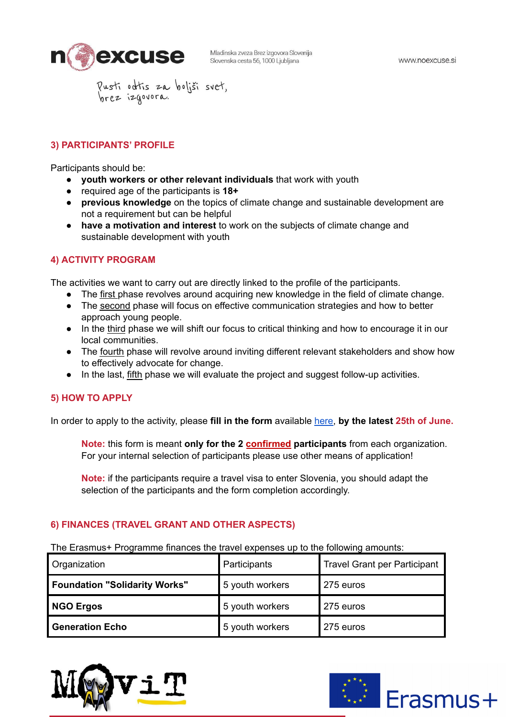

Pusti odtis za boljši svet,<br>brez izgovora.

# **3) PARTICIPANTS' PROFILE**

Participants should be:

- **youth workers or other relevant individuals** that work with youth
- required age of the participants is **18+**
- **previous knowledge** on the topics of climate change and sustainable development are not a requirement but can be helpful
- **have a motivation and interest** to work on the subjects of climate change and sustainable development with youth

## **4) ACTIVITY PROGRAM**

The activities we want to carry out are directly linked to the profile of the participants.

- The first phase revolves around acquiring new knowledge in the field of climate change.
- The second phase will focus on effective communication strategies and how to better approach young people.
- In the third phase we will shift our focus to critical thinking and how to encourage it in our local communities.
- The fourth phase will revolve around inviting different relevant stakeholders and show how to effectively advocate for change.
- In the last, fifth phase we will evaluate the project and suggest follow-up activities.

## **5) HOW TO APPLY**

In order to apply to the activity, please **fill in the form** available [here](https://docs.google.com/forms/d/e/1FAIpQLSfXNNHedKRVA-qAWnTcBAEoaHCibD23R5VF-sSlj_K9QClpQw/viewform), **by the latest 25th of June.**

**Note:** this form is meant **only for the 2 confirmed participants** from each organization. For your internal selection of participants please use other means of application!

**Note:** if the participants require a travel visa to enter Slovenia, you should adapt the selection of the participants and the form completion accordingly.

## **6) FINANCES (TRAVEL GRANT AND OTHER ASPECTS)**

The Erasmus+ Programme finances the travel expenses up to the following amounts:

| <b>Organization</b>           | Participants    | <b>Travel Grant per Participant</b> |
|-------------------------------|-----------------|-------------------------------------|
| Foundation "Solidarity Works" | 5 youth workers | 275 euros                           |
| NGO Ergos                     | 5 youth workers | 275 euros                           |
| <b>Generation Echo</b>        | 5 youth workers | 275 euros                           |



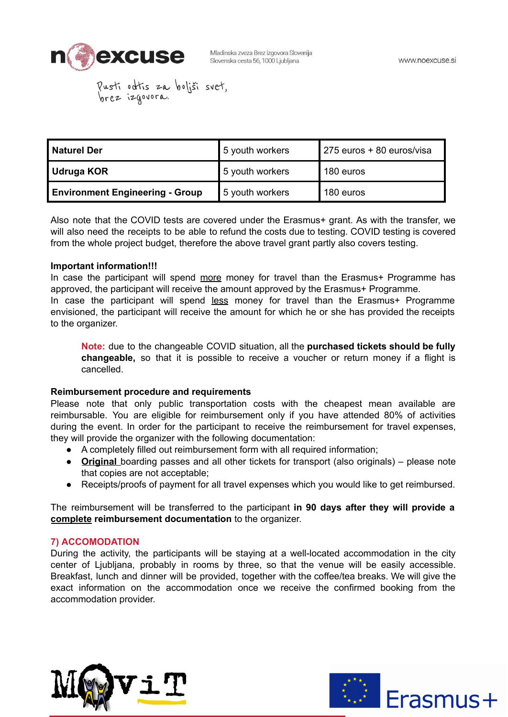

Pusti odtis za boljši svet,<br>brez izgovora.

| l Naturel Der                          | 5 youth workers | 275 euros + 80 euros/visa |
|----------------------------------------|-----------------|---------------------------|
| Udruga KOR                             | 5 youth workers | 180 euros                 |
| <b>Environment Engineering - Group</b> | 5 youth workers | 180 euros                 |

Also note that the COVID tests are covered under the Erasmus+ grant. As with the transfer, we will also need the receipts to be able to refund the costs due to testing. COVID testing is covered from the whole project budget, therefore the above travel grant partly also covers testing.

#### **Important information!!!**

In case the participant will spend more money for travel than the Erasmus+ Programme has approved, the participant will receive the amount approved by the Erasmus+ Programme. In case the participant will spend less money for travel than the Erasmus+ Programme envisioned, the participant will receive the amount for which he or she has provided the receipts to the organizer.

**Note:** due to the changeable COVID situation, all the **purchased tickets should be fully changeable,** so that it is possible to receive a voucher or return money if a flight is cancelled.

#### **Reimbursement procedure and requirements**

Please note that only public transportation costs with the cheapest mean available are reimbursable. You are eligible for reimbursement only if you have attended 80% of activities during the event. In order for the participant to receive the reimbursement for travel expenses, they will provide the organizer with the following documentation:

- A completely filled out reimbursement form with all required information;
- **Original** boarding passes and all other tickets for transport (also originals) please note that copies are not acceptable;
- Receipts/proofs of payment for all travel expenses which you would like to get reimbursed.

The reimbursement will be transferred to the participant **in 90 days after they will provide a complete reimbursement documentation** to the organizer.

## **7) ACCOMODATION**

During the activity, the participants will be staying at a well-located accommodation in the city center of Ljubljana, probably in rooms by three, so that the venue will be easily accessible. Breakfast, lunch and dinner will be provided, together with the coffee/tea breaks. We will give the exact information on the accommodation once we receive the confirmed booking from the accommodation provider.



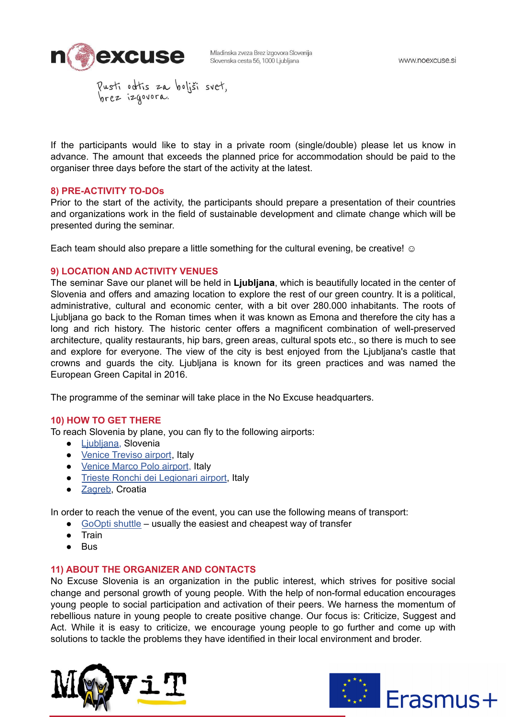

Pusti odtis za boljši svet,<br>brez izgovora.

If the participants would like to stay in a private room (single/double) please let us know in advance. The amount that exceeds the planned price for accommodation should be paid to the organiser three days before the start of the activity at the latest.

#### **8) PRE-ACTIVITY TO-DOs**

Prior to the start of the activity, the participants should prepare a presentation of their countries and organizations work in the field of sustainable development and climate change which will be presented during the seminar.

Each team should also prepare a little something for the cultural evening, be creative!  $\odot$ 

## **9) LOCATION AND ACTIVITY VENUES**

The seminar Save our planet will be held in **Ljubljana**, which is beautifully located in the center of Slovenia and offers and amazing location to explore the rest of our green country. It is a political, administrative, cultural and economic center, with a bit over 280.000 inhabitants. The roots of Ljubljana go back to the Roman times when it was known as Emona and therefore the city has a long and rich history. The historic center offers a magnificent combination of well-preserved architecture, quality restaurants, hip bars, green areas, cultural spots etc., so there is much to see and explore for everyone. The view of the city is best enjoyed from the Ljubljana's castle that crowns and guards the city. Ljubljana is known for its green practices and was named the European Green Capital in 2016.

The programme of the seminar will take place in the No Excuse headquarters.

## **10) HOW TO GET THERE**

To reach Slovenia by plane, you can fly to the following airports:

- [Ljubljana,](https://www.lju-airport.si/sl/) Slovenia
- Venice [Treviso](https://www.trevisoairport.it/en/) airport, Italy
- [Venice](https://www.veneziaairport.it/en/) Marco Polo airport, Italy
- Trieste Ronchi dei [Legionari](https://triesteairport.it/sl/airport/) airport, Italy
- [Zagreb](https://www.zagreb-airport.hr/), Croatia

In order to reach the venue of the event, you can use the following means of transport:

- [GoOpti](https://www.goopti.com/sl/) shuttle usually the easiest and cheapest way of transfer
- **Train**
- Bus

#### **11) ABOUT THE ORGANIZER AND CONTACTS**

No Excuse Slovenia is an organization in the public interest, which strives for positive social change and personal growth of young people. With the help of non-formal education encourages young people to social participation and activation of their peers. We harness the momentum of rebellious nature in young people to create positive change. Our focus is: Criticize, Suggest and Act. While it is easy to criticize, we encourage young people to go further and come up with solutions to tackle the problems they have identified in their local environment and broder.